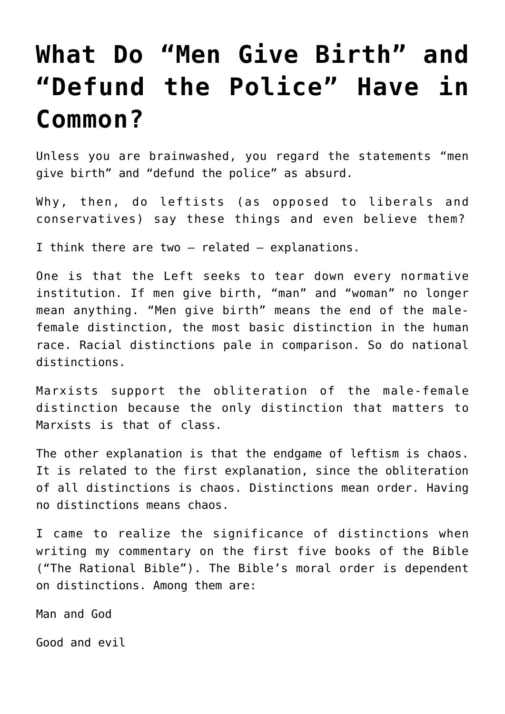## **[What Do "Men Give Birth" and](https://bernardgoldberg.com/what-do-men-give-birth-and-defund-the-police-have-in-common/) ["Defund the Police" Have in](https://bernardgoldberg.com/what-do-men-give-birth-and-defund-the-police-have-in-common/) [Common?](https://bernardgoldberg.com/what-do-men-give-birth-and-defund-the-police-have-in-common/)**

Unless you are brainwashed, you regard the statements "men give birth" and "defund the police" as absurd.

Why, then, do leftists (as opposed to liberals and conservatives) say these things and even believe them?

I think there are two — related — explanations.

One is that the Left seeks to tear down every normative institution. If men give birth, "man" and "woman" no longer mean anything. "Men give birth" means the end of the malefemale distinction, the most basic distinction in the human race. Racial distinctions pale in comparison. So do national distinctions.

Marxists support the obliteration of the male-female distinction because the only distinction that matters to Marxists is that of class.

The other explanation is that the endgame of leftism is chaos. It is related to the first explanation, since the obliteration of all distinctions is chaos. Distinctions mean order. Having no distinctions means chaos.

I came to realize the significance of distinctions when writing my commentary on the first five books of the Bible ("The Rational Bible"). The Bible's moral order is dependent on distinctions. Among them are:

Man and God

Good and evil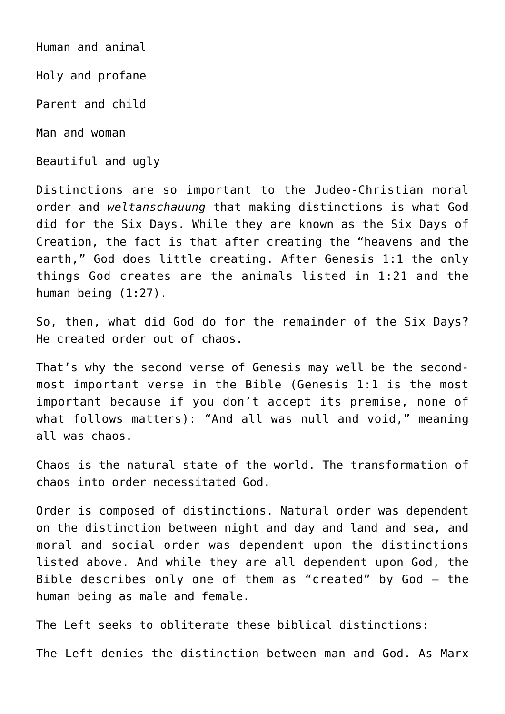Human and animal

Holy and profane

Parent and child

Man and woman

Beautiful and ugly

Distinctions are so important to the Judeo-Christian moral order and *weltanschauung* that making distinctions is what God did for the Six Days. While they are known as the Six Days of Creation, the fact is that after creating the "heavens and the earth," God does little creating. After Genesis 1:1 the only things God creates are the animals listed in 1:21 and the human being (1:27).

So, then, what did God do for the remainder of the Six Days? He created order out of chaos.

That's why the second verse of Genesis may well be the secondmost important verse in the Bible (Genesis 1:1 is the most important because if you don't accept its premise, none of what follows matters): "And all was null and void," meaning all was chaos.

Chaos is the natural state of the world. The transformation of chaos into order necessitated God.

Order is composed of distinctions. Natural order was dependent on the distinction between night and day and land and sea, and moral and social order was dependent upon the distinctions listed above. And while they are all dependent upon God, the Bible describes only one of them as "created" by God — the human being as male and female.

The Left seeks to obliterate these biblical distinctions:

The Left denies the distinction between man and God. As Marx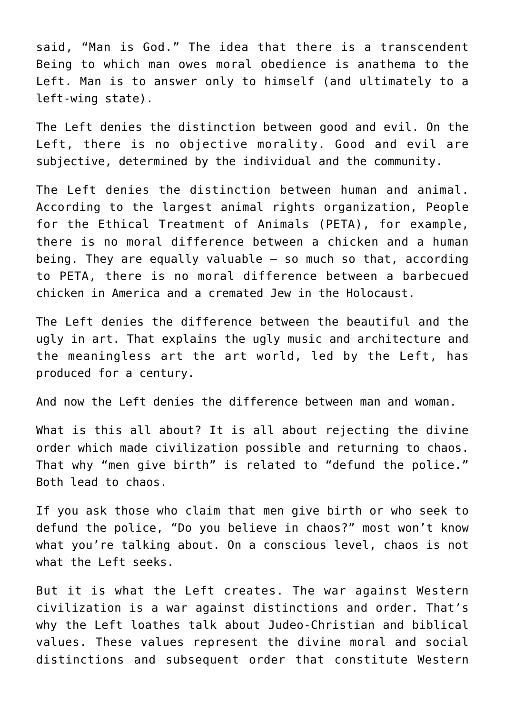said, "Man is God." The idea that there is a transcendent Being to which man owes moral obedience is anathema to the Left. Man is to answer only to himself (and ultimately to a left-wing state).

The Left denies the distinction between good and evil. On the Left, there is no objective morality. Good and evil are subjective, determined by the individual and the community.

The Left denies the distinction between human and animal. According to the largest animal rights organization, People for the Ethical Treatment of Animals (PETA), for example, there is no moral difference between a chicken and a human being. They are equally valuable — so much so that, according to PETA, there is no moral difference between a barbecued chicken in America and a cremated Jew in the Holocaust.

The Left denies the difference between the beautiful and the ugly in art. That explains the ugly music and architecture and the meaningless art the art world, led by the Left, has produced for a century.

And now the Left denies the difference between man and woman.

What is this all about? It is all about rejecting the divine order which made civilization possible and returning to chaos. That why "men give birth" is related to "defund the police." Both lead to chaos.

If you ask those who claim that men give birth or who seek to defund the police, "Do you believe in chaos?" most won't know what you're talking about. On a conscious level, chaos is not what the Left seeks.

But it is what the Left creates. The war against Western civilization is a war against distinctions and order. That's why the Left loathes talk about Judeo-Christian and biblical values. These values represent the divine moral and social distinctions and subsequent order that constitute Western